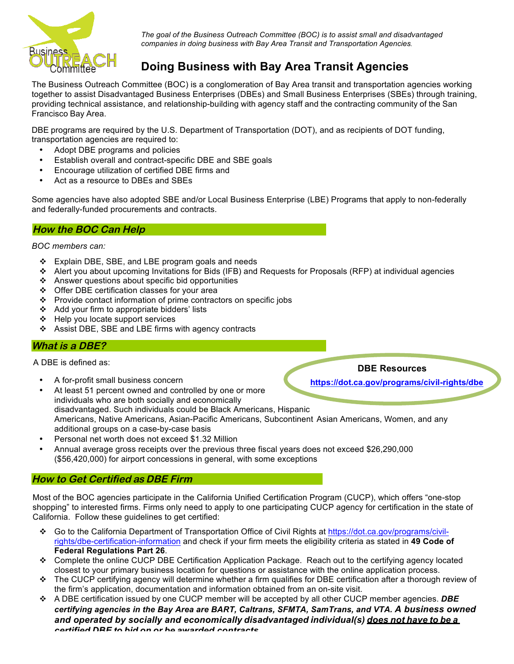

*The goal of the Business Outreach Committee (BOC) is to assist small and disadvantaged companies in doing business with Bay Area Transit and Transportation Agencies.*

# **Doing Business with Bay Area Transit Agencies**

The Business Outreach Committee (BOC) is a conglomeration of Bay Area transit and transportation agencies working together to assist Disadvantaged Business Enterprises (DBEs) and Small Business Enterprises (SBEs) through training, providing technical assistance, and relationship-building with agency staff and the contracting community of the San Francisco Bay Area.

DBE programs are required by the U.S. Department of Transportation (DOT), and as recipients of DOT funding, transportation agencies are required to:

- Adopt DBE programs and policies
- Establish overall and contract-specific DBE and SBE goals
- Encourage utilization of certified DBE firms and
- Act as a resource to DBEs and SBEs

Some agencies have also adopted SBE and/or Local Business Enterprise (LBE) Programs that apply to non-federally and federally-funded procurements and contracts.

#### **How the BOC Can Help**

*BOC members can:* 

- $\div$  Explain DBE, SBE, and LBE program goals and needs
- v Alert you about upcoming Invitations for Bids (IFB) and Requests for Proposals (RFP) at individual agencies
- $\triangle$  Answer questions about specific bid opportunities
- $\div$  Offer DBE certification classes for your area
- $\div$  Provide contact information of prime contractors on specific jobs
- Add your firm to appropriate bidders' lists
- $\div$  Help you locate support services
- $\div$  Assist DBE, SBE and LBE firms with agency contracts

## **What is a DBE?**

A DBE is defined as:

• A for-profit small business concern

**DBE Resources**

**https://dot.ca.gov/programs/civil-rights/dbe**

- At least 51 percent owned and controlled by one or more individuals who are both socially and economically disadvantaged. Such individuals could be Black Americans, Hispanic Americans, Native Americans, Asian-Pacific Americans, Subcontinent Asian Americans, Women, and any additional groups on a case-by-case basis
- Personal net worth does not exceed \$1.32 Million
- Annual average gross receipts over the previous three fiscal years does not exceed \$26,290,000 (\$56,420,000) for airport concessions in general, with some exceptions

## **How to Get Certified as DBE Firm**

Most of the BOC agencies participate in the California Unified Certification Program (CUCP), which offers "one-stop shopping" to interested firms. Firms only need to apply to one participating CUCP agency for certification in the state of California. Follow these guidelines to get certified:

- v Go to the California Department of Transportation Office of Civil Rights at https://dot.ca.gov/programs/civilrights/dbe-certification-information and check if your firm meets the eligibility criteria as stated in **49 Code of Federal Regulations Part 26**.
- v Complete the online CUCP DBE Certification Application Package. Reach out to the certifying agency located closest to your primary business location for questions or assistance with the online application process.
- $\cdot \cdot$  The CUCP certifying agency will determine whether a firm qualifies for DBE certification after a thorough review of the firm's application, documentation and information obtained from an on-site visit.
- v A DBE certification issued by one CUCP member will be accepted by all other CUCP member agencies. *DBE certifying agencies in the Bay Area are BART, Caltrans, SFMTA, SamTrans, and VTA. A business owned and operated by socially and economically disadvantaged individual(s) does not have to be a certified DBE to bid on or be awarded contracts.*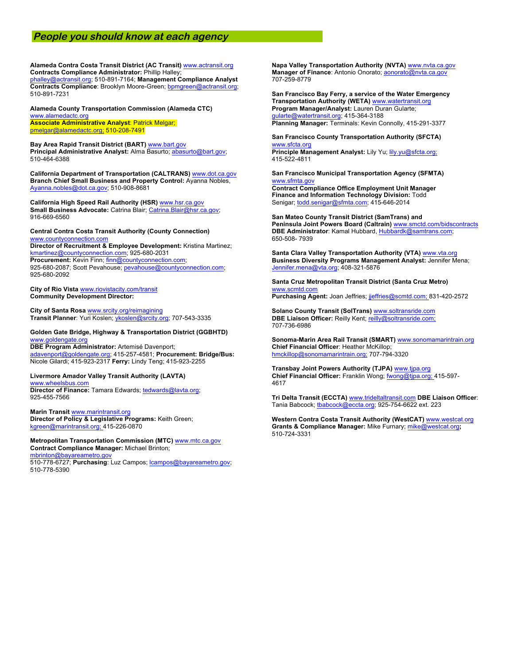#### **People you should know at each agency**

**Alameda Contra Costa Transit District (AC Transit)** www.actransit.org **Contracts Compliance Administrator:** Phillip Halley;

phalley@actransit.org; 510-891-7164; **Management Compliance Analyst Contracts Compliance**: Brooklyn Moore-Green; bpmgreen@actransit.org; 510-891-7231

**Alameda County Transportation Commission (Alameda CTC)** www.alamedactc.org **Associate Administrative Analyst**: Patrick Melgar; pmelgar@alamedactc.org; 510-208-7491

**Bay Area Rapid Transit District (BART)** www.bart.gov Principal Administrative Analyst: Alma Basurto; abasurto@bart.gov; 510-464-6388

**California Department of Transportation (CALTRANS)** www.dot.ca.gov **Branch Chief Small Business and Property Control:** Ayanna Nobles, Ayanna.nobles@dot.ca.gov; 510-908-8681

**California High Speed Rail Authority (HSR)** www.hsr.ca.gov **Small Business Advocate:** Catrina Blair; Catrina.Blair@hsr.ca.gov; 916-669-6560

**Central Contra Costa Transit Authority (County Connection)** www.countyconnection.com **Director of Recruitment & Employee Development:** Kristina Martinez; kmartinez@countyconnection.com; 925-680-2031 **Procurement:** Kevin Finn; finn@countyconnection.com; 925-680-2087; Scott Pevahouse; pevahouse@countyconnection.com; 925-680-2092

**City of Rio Vista** www.riovistacity.com/transit **Community Development Director:**

**City of Santa Rosa** www.srcity.org/reimagining **Transit Planner**: Yuri Koslen; ykoslen@srcity.org; 707-543-3335

**Golden Gate Bridge, Highway & Transportation District (GGBHTD)** www.goldengate.org

**DBE Program Administrator:** Artemisé Davenport; adavenport@goldengate.org; 415-257-4581; **Procurement: Bridge/Bus:**  Nicole Gilardi; 415-923-2317 **Ferry:** Lindy Teng; 415-923-2255

**Livermore Amador Valley Transit Authority (LAVTA)** www.wheelsbus.com Director of Finance: Tamara Edwards; tedwards@lavta.org;

925-455-7566 **Marin Transit** www.marintransit.org

**Director of Policy & Legislative Programs:** Keith Green; kgreen@marintransit.org; 415-226-0870

**Metropolitan Transportation Commission (MTC)** www.mtc.ca.gov **Contract Compliance Manager:** Michael Brinton; mbrinton@bayareametro.gov

510-778-6727; **Purchasing**: Luz Campos; lcampos@bayareametro.gov; 510-778-5390

**Napa Valley Transportation Authority (NVTA)** www.nvta.ca.gov **Manager of Finance**: Antonio Onorato; aonorato@nvta.ca.gov 707-259-8779

**San Francisco Bay Ferry, a service of the Water Emergency Transportation Authority (WETA)** www.watertransit.org **Program Manager/Analyst:** Lauren Duran Gularte; gularte@watertransit.org; 415-364-3188 **Planning Manager:** Terminals: Kevin Connolly, 415-291-3377

#### **San Francisco County Transportation Authority (SFCTA)** www.sfcta.org

Principle Management Analyst: Lily Yu; lily.yu@sfcta.org; 415-522-4811

**San Francisco Municipal Transportation Agency (SFMTA)** www.sfmta.go

**Contract Compliance Office Employment Unit Manager Finance and Information Technology Division:** Todd Senigar; todd.senigar@sfmta.com; 415-646-2014

**San Mateo County Transit District (SamTrans) and Peninsula Joint Powers Board (Caltrain)** www.smctd.com/bidscontracts **DBE Administrator**: Kamal Hubbard, Hubbardk@samtrans.com; 650-508- 7939

**Santa Clara Valley Transportation Authority (VTA)** www.vta.org **Business Diversity Programs Management Analyst:** Jennifer Mena; Jennifer.mena@vta.org; 408-321-5876

**Santa Cruz Metropolitan Transit District (Santa Cruz Metro)** www.scmtd.com

**Purchasing Agent:** Joan Jeffries; jjeffries@scmtd.com; 831-420-2572

**Solano County Transit (SolTrans)** www.soltransride.com **DBE Liaison Officer:** Reilly Kent; reilly@soltransride.com; 707-736-6986

**Sonoma-Marin Area Rail Transit (SMART)** www.sonomamarintrain.org **Chief Financial Officer**: Heather McKillop; hmckillop@sonomamarintrain.org; 707-794-3320

**Transbay Joint Powers Authority (TJPA)** www.tjpa.org **Chief Financial Officer:** Franklin Wong; fwong@tjpa.org; 415-597- 4617

**Tri Delta Transit (ECCTA)** www.trideltaltransit.com **DBE Liaison Officer**: Tania Babcock; tbabcock@eccta.org; 925-754-6622 ext. 223

**Western Contra Costa Transit Authority (WestCAT)** www.westcat.org **Grants & Compliance Manager:** Mike Furnary; mike@westcat.org**;** 510-724-3331